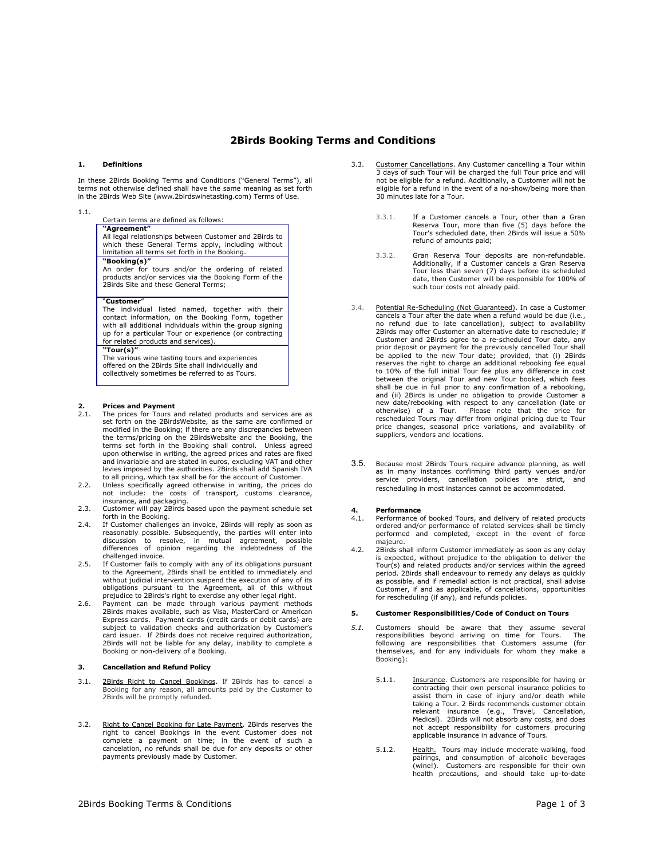## **2Birds Booking Terms and Conditions**

#### **1. Definitions**

In these 2Birds Booking Terms and Conditions ("General Terms"), all terms not otherwise defined shall have the same meaning as set forth in the 2Birds Web Site (www.2birdswinetasting.com) Terms of Use.

#### 1.1.

Certain terms are defined as follows:

#### **"Agreement"**

All legal relationships between Customer and 2Birds to

which these General Terms apply, including without limitation all terms set forth in the Booking.

### **"Booking(s)"**

An order for tours and/or the ordering of related products and/or services via the Booking Form of the 2Birds Site and these General Terms;

#### "**Customer**"

The individual listed named, together with their contact information, on the Booking Form, together with all additional individuals within the group signing up for a particular Tour or experience (or contracting for related products and services).

### **"Tour(s)"**

The various wine tasting tours and experiences offered on the 2Birds Site shall individually and collectively sometimes be referred to as Tours.

## **2. Prices and Payment**<br>**2.1.** The prices for Tours a

- The prices for Tours and related products and services are as set forth on the 2BirdsWebsite, as the same are confirmed or modified in the Booking; if there are any discrepancies between the terms/pricing on the 2BirdsWebsite and the Booking, the terms set forth in the Booking shall control. Unless agreed upon otherwise in writing, the agreed prices and rates are fixed and invariable and are stated in euros, excluding VAT and other levies imposed by the authorities. 2Birds shall add Spanish IVA
- to all pricing, which tax shall be for the account of Customer. 2.2. Unless specifically agreed otherwise in writing, the prices do not include: the costs of transport, customs clearance, insurance, and packaging.
- 2.3. Customer will pay 2Birds based upon the payment schedule set forth in the Booking.
- 2.4. If Customer challenges an invoice, 2Birds will reply as soon as reasonably possible. Subsequently, the parties will enter into discussion to resolve, in mutual agreement, possible differences of opinion regarding the indebtedness of the challenged invoice.
- 2.5. If Customer fails to comply with any of its obligations pursuant to the Agreement, 2Birds shall be entitled to immediately and without judicial intervention suspend the execution of any of its obligations pursuant to the Agreement, all of this without prejudice to 2Birds's right to exercise any other legal right.
- 2.6. Payment can be made through various payment methods 2Birds makes available, such as Visa, MasterCard or American Express cards. Payment cards (credit cards or debit cards) are subject to validation checks and authorization by Customer's card issuer. If 2Birds does not receive required authorization, 2Birds will not be liable for any delay, inability to complete a Booking or non-delivery of a Booking.

#### **3. Cancellation and Refund Policy**

- 3.1. 2Birds Right to Cancel Bookings. If 2Birds has to cancel a Booking for any reason, all amounts paid by the Customer to 2Birds will be promptly refunded.
- 3.2. Right to Cancel Booking for Late Payment. 2Birds reserves the right to cancel Bookings in the event Customer does not complete a payment on time; in the event of such a cancelation, no refunds shall be due for any deposits or other payments previously made by Customer.
- 3.3. Customer Cancellations. Any Customer cancelling a Tour within 3 days of such Tour will be charged the full Tour price and will not be eligible for a refund. Additionally, a Customer will not be eligible for a refund in the event of a no-show/being more than 30 minutes late for a Tour.
	- 3.3.1. If a Customer cancels a Tour, other than a Gran Reserva Tour, more than five (5) days before the Tour's scheduled date, then 2Birds will issue a 50% refund of amounts paid;
	- 3.3.2. Gran Reserva Tour deposits are non-refundable. Additionally, if a Customer cancels a Gran Reserva Tour less than seven (7) days before its scheduled date, then Customer will be responsible for 100% of such tour costs not already paid.
- 3.4. Potential Re-Scheduling (Not Guaranteed). In case a Customer cancels a Tour after the date when a refund would be due (i.e., no refund due to late cancellation), subject to availability 2Birds may offer Customer an alternative date to reschedule; if Customer and 2Birds agree to a re-scheduled Tour date, any prior deposit or payment for the previously cancelled Tour shall be applied to the new Tour date; provided, that (i) 2Birds reserves the right to charge an additional rebooking fee equal to 10% of the full initial Tour fee plus any difference in cost between the original Tour and new Tour booked, which fees shall be due in full prior to any confirmation of a rebooking, and (ii) 2Birds is under no obligation to provide Customer a new date/rebooking with respect to any cancellation (late or otherwise) of a Tour. Please note that the price for rescheduled Tours may differ from original pricing due to Tour price changes, seasonal price variations, and availability of suppliers, vendors and locations.
- 3.5. Because most 2Birds Tours require advance planning, as well as in many instances confirming third party venues and/or service providers, cancellation policies are strict, and rescheduling in most instances cannot be accommodated.

# **4. Performance**<br>4.1. Performance of

- Performance of booked Tours, and delivery of related products ordered and/or performance of related services shall be timely performed and completed, except in the event of force majeure.
- 4.2. 2Birds shall inform Customer immediately as soon as any delay is expected, without prejudice to the obligation to deliver the Tour(s) and related products and/or services within the agreed period. 2Birds shall endeavour to remedy any delays as quickly as possible, and if remedial action is not practical, shall advise<br>Customer, if and as applicable, of cancellations, opportunities<br>for rescheduling (if any), and refunds policies.

#### **5. Customer Responsibilities/Code of Conduct on Tours**

- *5.1.* Customers should be aware that they assume several responsibilities beyond arriving on time for Tours. The following are responsibilities that Customers assume (for themselves, and for any individuals for whom they make a Booking):
	- 5.1.1. **Insurance**. Customers are responsible for having or contracting their own personal insurance policies to assist them in case of injury and/or death while taking a Tour. 2 Birds recommends customer obtain relevant insurance (e.g., Travel, Cancellation, Medical). 2Birds will not absorb any costs, and does not accept responsibility for customers procuring applicable insurance in advance of Tours.
	- 5.1.2. Health. Tours may include moderate walking, food pairings, and consumption of alcoholic beverages (wine!). Customers are responsible for their own health precautions, and should take up-to-date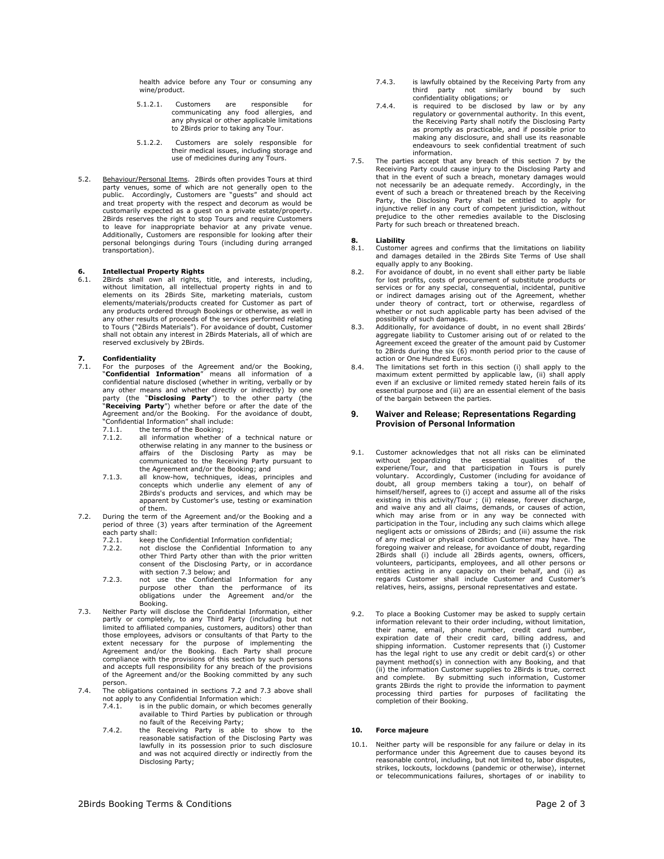health advice before any Tour or consuming any wine/product.

- 5.1.2.1. Customers are responsible for communicating any food allergies, and any physical or other applicable limitations to 2Birds prior to taking any Tour.
- 5.1.2.2. Customers are solely responsible for their medical issues, including storage and use of medicines during any Tours.
- 5.2. Behaviour/Personal Items. 2Birds often provides Tours at third party venues, some of which are not generally open to the public. Accordingly, Customers are "guests" and should act and treat property with the respect and decorum as would be customarily expected as a guest on a private estate/property. 2Birds reserves the right to stop Tours and require Customers to leave for inappropriate behavior at any private venue. Additionally, Customers are responsible for looking after their personal belongings during Tours (including during arranged transportation).

## **6. Intellectual Property Rights**

6.1. 2Birds shall own all rights, title, and interests, including, without limitation, all intellectual property rights in and to elements on its 2Birds Site, marketing materials, custom elements/materials/products created any products ordered through Bookings or otherwise, as well in<br>any other results of proceeds of the services performed relating<br>to Tours ("2Birds Materials"). For avoidance of doubt, Customer<br>shall not obtain any interest reserved exclusively by 2Birds.

# **7. Confidentiality**<br> **7.1** For the purpos

For the purposes of the Agreement and/or the Booking, **"Confidential Information**" means all information of a<br>confidential nature disclosed (whether in writing, verbally or by<br>any other means and whether directly or indirectly) by one<br>party (the "**Disclosing Party**") to the o "**Receiving Party**") whether before or after the date of the Agreement and/or the Booking. For the avoidance of doubt, "Confidential Information" shall include:

7.1.1. the terms of the Booking;<br>7.1.2. all information whether

- all information whether of a technical nature or otherwise relating in any manner to the business or affairs of the Disclosing Party as may be communicated to the Receiving Party pursuant to
- the Agreement and/or the Booking; and 7.1.3. all know-how, techniques, ideas, principles and concepts which underlie any element of any of 2Birds's products and services, and which may be apparent by Customer's use, testing or examination of them.
- 7.2. During the term of the Agreement and/or the Booking and a period of three (3) years after termination of the Agreement each party shall:
	- 7.2.1. keep the Confidential Information confidential;<br>7.2.2. not disclose the Confidential Information to
	- 7.2.2. not disclose the Confidential Information to any other Third Party other than with the prior written consent of the Disclosing Party, or in accordance
	- with section 7.3 below; and<br>
	7.2.3. not use the Confidential Information for any<br>
	purpose other than the performance of its<br>
	obligations under the Agreement and/or the Booking.
- 7.3. Neither Party will disclose the Confidential Information, either partly or completely, to any Third Party (including but not limited to affiliated companies, customers, auditors) other than those employees, advisors or consultants of that Party to the extent necessary for the purpose of implementing the Agreement and/or the Booking. Each Party shall procure compliance with the provisions of this section by such persons and accepts full responsibility for any breach of the provisions of the Agreement and/or the Booking committed by any such person.
- 7.4. The obligations contained in sections 7.2 and 7.3 above shall not apply to any Confidential Information which:<br> $7.41$  is in the public domain, or which becomes
	- 7.4.1. is in the public domain, or which becomes generally available to Third Parties by publication or through
	- no fault of the Receiving Party;<br>7.4.2. the Receiving Party is able to show to the<br>reasonable satisfaction of the Disclosing Party was lawfully in its possession prior to such disclosure and was not acquired directly or indirectly from the Disclosing Party;
- 7.4.3. is lawfully obtained by the Receiving Party from any third party not similarly bound by such confidentiality obligations; or 7.4.4. is required to be disclosed by law or by any
- regulatory or governmental authority. In this event, the Receiving Party shall notify the Disclosing Party as promptly as practicable, and if possible prior to making any disclosure, and shall use its reasonable endeavours to seek confidential treatment of such information.
- 7.5. The parties accept that any breach of this section 7 by the Receiving Party could cause injury to the Disclosing Party and that in the event of such a breach, monetary damages would not necessarily be an adequate remedy. Accordingly, in the event of such a breach or threatened breach by the Receiving Party, the Disclosing Party shall be entitled to apply for injunctive relief in any court of competent jurisdiction, without prejudice to the other remedies available to the Disclosing Party for such breach or threatened breach.

# **8. Liability**

- 8.1. Customer agrees and confirms that the limitations on liability and damages detailed in the 2Birds Site Terms of Use shall
- equally apply to any Booking. 8.2. For avoidance of doubt, in no event shall either party be liable for lost profits, costs of procurement of substitute products or services or for any special, consequential, incidental, punitive or indirect damages arising out of the Agreement, whether under theory of contract, tort or otherwise, regardless of whether or not such applicable party has been advised of the
- possibility of such damages. 8.3. Additionally, for avoidance of doubt, in no event shall 2Birds' aggregate liability to Customer arising out of or related to the Agreement exceed the greater of the amount paid by Customer to 2Birds during the six (6) month period prior to the cause of action or One Hundred Euros.
- 8.4. The limitations set forth in this section (i) shall apply to the maximum extent permitted by applicable law, (ii) shall apply even if an exclusive or limited remedy stated herein fails of its essential purpose and (iii) are an essential element of the basis of the bargain between the parties.

#### **9. Waiver and Release; Representations Regarding Provision of Personal Information**

- 9.1. Customer acknowledges that not all risks can be eliminated without jeopardizing the essential qualities of the experiene/Tour, and that participation in Tours is purely voluntary. Accordingly, Customer (including for avoidance of doubt, all group members taking a tour), on behalf of himself/herself, agrees to (i) accept and assume all of the risks existing in this activity/Tour ; (ii) release, forever discharge, and waive any and all claims, demands, or causes of action, which may arise from or in any way be connected with participation in the Tour, including any such claims which allege negligent acts or omissions of 2Birds; and (iii) assume the risk of any medical or physical condition Customer may have. The<br>foregoing waiver and release, for avoidance of doubt, regarding<br>2Birds shall (i) include all 2Birds agents, owners, officers,<br>volunteers, participants, employees,
- 9.2. To place a Booking Customer may be asked to supply certain information relevant to their order including, without limitation, their name, email, phone number, credit card number, expiration date of their credit card, billing address, and shipping information. Customer represents that (i) Customer<br>has the legal right to use any credit or debit card(s) or other<br>payment method(s) in connection with any Booking, and that<br>(ii) the information Customer supplies and complete. By submitting such information, Customer grants 2Birds the right to provide the information to payment processing third parties for purposes of facilitating the completion of their Booking.

#### **10. Force majeure**

10.1. Neither party will be responsible for any failure or delay in its performance under this Agreement due to causes beyond its reasonable control, including, but not limited to, labor disputes, strikes, lockouts, lockdowns (pandemic or otherwise), internet or telecommunications failures, shortages of or inability to